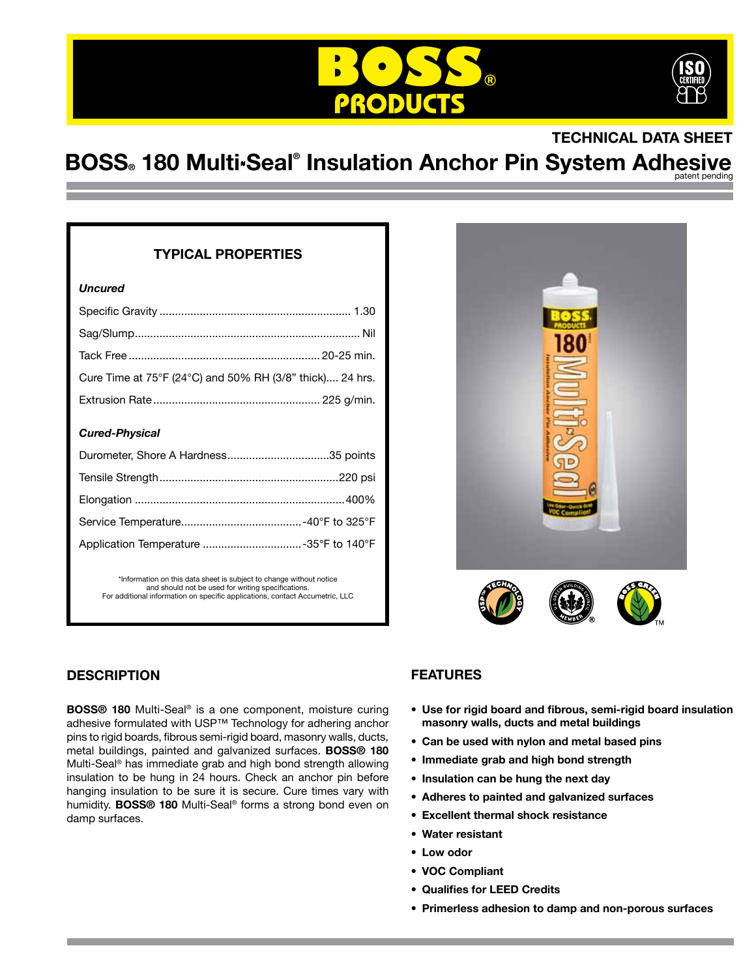



## **TECHNICAL DATA SHEET**

# **BOSS。180 Multi<sub>\*</sub>Seal® Insulation Anchor Pin System Adhesive**

### **TYPICAL PROPERTIES**

#### *Uncured*

| Cure Time at 75°F (24°C) and 50% RH (3/8" thick) 24 hrs. |  |
|----------------------------------------------------------|--|
|                                                          |  |

#### *Cured-Physical*

| Application Temperature 35°F to 140°F |  |
|---------------------------------------|--|

\*Information on this data sheet is subject to change without notice and should not be used for writing specifications. For additional information on specific applications, contact Accumetric, LLC



## **DESCRIPTION**

**BOSS® 180** Multi-Seal® is a one component, moisture curing adhesive formulated with USP™ Technology for adhering anchor pins to rigid boards, fibrous semi-rigid board, masonry walls, ducts, metal buildings, painted and galvanized surfaces. **BOSS® 180** Multi-Seal® has immediate grab and high bond strength allowing insulation to be hung in 24 hours. Check an anchor pin before hanging insulation to be sure it is secure. Cure times vary with humidity. **BOSS® 180** Multi-Seal® forms a strong bond even on damp surfaces.

## **FEATURES**

- **• Use for rigid board and fibrous, semi-rigid board insulation masonry walls, ducts and metal buildings**
- **• Can be used with nylon and metal based pins**
- **• Immediate grab and high bond strength**
- **• Insulation can be hung the next day**
- **• Adheres to painted and galvanized surfaces**
- **• Excellent thermal shock resistance**
- **• Water resistant**
- **• Low odor**
- **• VOC Compliant**
- **• Qualifies for LEED Credits**
- **• Primerless adhesion to damp and non-porous surfaces**